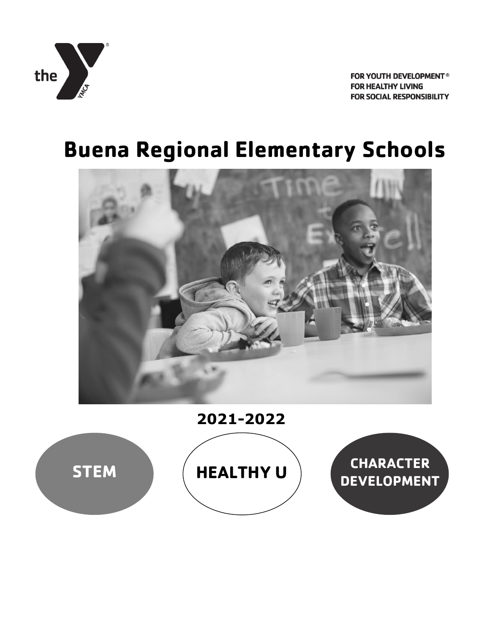

# **Buena Regional Elementary Schools**



**2021-2022**

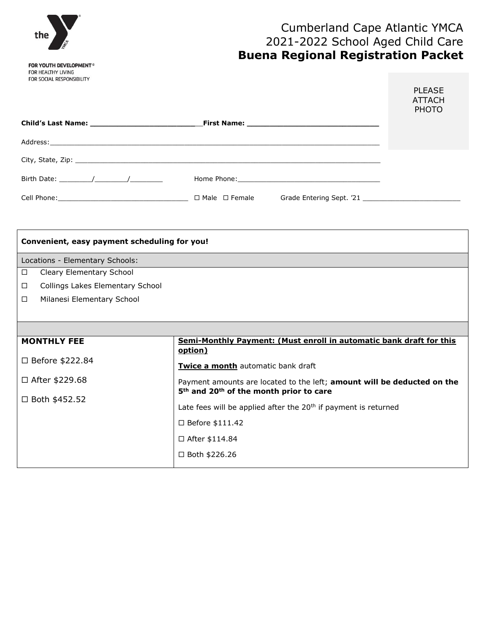

# Cumberland Cape Atlantic YMCA 2021-2022 School Aged Child Care **Buena Regional Registration Packet**

|                                                                                          |                                                                                                                | <b>PLEASE</b><br><b>ATTACH</b><br><b>PHOTO</b> |
|------------------------------------------------------------------------------------------|----------------------------------------------------------------------------------------------------------------|------------------------------------------------|
|                                                                                          |                                                                                                                |                                                |
|                                                                                          |                                                                                                                |                                                |
|                                                                                          |                                                                                                                |                                                |
| Birth Date: $\frac{1}{\sqrt{1-\frac{1}{2}}}\left  \frac{1}{\sqrt{1-\frac{1}{2}}}\right $ |                                                                                                                |                                                |
|                                                                                          | Grade Entering Sept. '21 Second Second Second Second Second Second Second Second Second Second Second Second S |                                                |

| Convenient, easy payment scheduling for you! |                                                                                                                                            |  |  |  |  |
|----------------------------------------------|--------------------------------------------------------------------------------------------------------------------------------------------|--|--|--|--|
| Locations - Elementary Schools:              |                                                                                                                                            |  |  |  |  |
| Cleary Elementary School<br>□                |                                                                                                                                            |  |  |  |  |
| Collings Lakes Elementary School<br>□        |                                                                                                                                            |  |  |  |  |
| Milanesi Elementary School<br>$\Box$         |                                                                                                                                            |  |  |  |  |
|                                              |                                                                                                                                            |  |  |  |  |
|                                              |                                                                                                                                            |  |  |  |  |
| <b>MONTHLY FEE</b>                           | Semi-Monthly Payment: (Must enroll in automatic bank draft for this<br>option)                                                             |  |  |  |  |
| □ Before \$222.84                            | Twice a month automatic bank draft                                                                                                         |  |  |  |  |
| □ After \$229.68                             | Payment amounts are located to the left; amount will be deducted on the<br>5 <sup>th</sup> and 20 <sup>th</sup> of the month prior to care |  |  |  |  |
| $\Box$ Both \$452.52                         |                                                                                                                                            |  |  |  |  |
|                                              | Late fees will be applied after the $20th$ if payment is returned                                                                          |  |  |  |  |
|                                              | $\Box$ Before \$111.42                                                                                                                     |  |  |  |  |
|                                              | $\Box$ After \$114.84                                                                                                                      |  |  |  |  |
|                                              | $\Box$ Both \$226.26                                                                                                                       |  |  |  |  |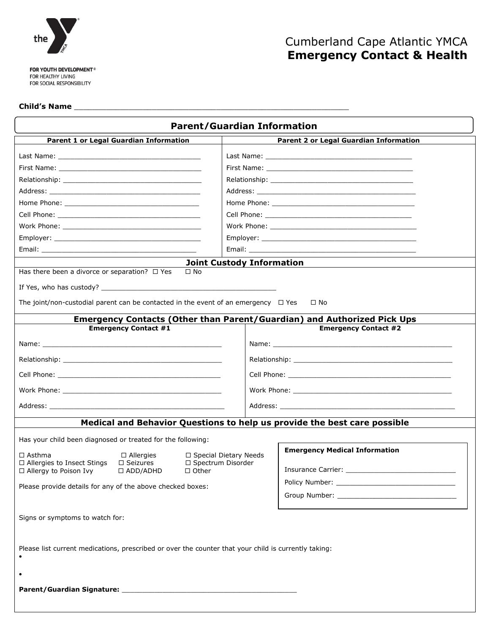

# Cumberland Cape Atlantic YMCA **Emergency Contact & Health**

#### **Child's Name** \_\_\_\_\_\_\_\_\_\_\_\_\_\_\_\_\_\_\_\_\_\_\_\_\_\_\_\_\_\_\_\_\_\_\_\_\_\_\_\_\_\_\_\_\_\_\_\_\_\_\_\_\_\_\_\_\_\_\_\_

| <b>Parent/Guardian Information</b>                                                                                                                                                                                  |  |                                      |                                                                                                                                                                                                                                |  |  |
|---------------------------------------------------------------------------------------------------------------------------------------------------------------------------------------------------------------------|--|--------------------------------------|--------------------------------------------------------------------------------------------------------------------------------------------------------------------------------------------------------------------------------|--|--|
| Parent 1 or Legal Guardian Information                                                                                                                                                                              |  |                                      | <b>Parent 2 or Legal Guardian Information</b>                                                                                                                                                                                  |  |  |
|                                                                                                                                                                                                                     |  |                                      |                                                                                                                                                                                                                                |  |  |
|                                                                                                                                                                                                                     |  |                                      |                                                                                                                                                                                                                                |  |  |
|                                                                                                                                                                                                                     |  |                                      | Relationship: The Contract of The Contract of The Contract of The Contract of The Contract of The Contract of T                                                                                                                |  |  |
|                                                                                                                                                                                                                     |  |                                      |                                                                                                                                                                                                                                |  |  |
|                                                                                                                                                                                                                     |  |                                      |                                                                                                                                                                                                                                |  |  |
|                                                                                                                                                                                                                     |  |                                      |                                                                                                                                                                                                                                |  |  |
|                                                                                                                                                                                                                     |  |                                      |                                                                                                                                                                                                                                |  |  |
|                                                                                                                                                                                                                     |  |                                      |                                                                                                                                                                                                                                |  |  |
|                                                                                                                                                                                                                     |  |                                      |                                                                                                                                                                                                                                |  |  |
| <b>Joint Custody Information</b>                                                                                                                                                                                    |  |                                      |                                                                                                                                                                                                                                |  |  |
| Has there been a divorce or separation? $\Box$ Yes<br>$\Box$ No<br>The joint/non-custodial parent can be contacted in the event of an emergency $\Box$ Yes<br>$\Box$ No                                             |  |                                      |                                                                                                                                                                                                                                |  |  |
| <b>Emergency Contacts (Other than Parent/Guardian) and Authorized Pick Ups</b><br><b>Emergency Contact #1</b>                                                                                                       |  |                                      | <b>Emergency Contact #2</b>                                                                                                                                                                                                    |  |  |
|                                                                                                                                                                                                                     |  |                                      |                                                                                                                                                                                                                                |  |  |
|                                                                                                                                                                                                                     |  |                                      |                                                                                                                                                                                                                                |  |  |
|                                                                                                                                                                                                                     |  |                                      |                                                                                                                                                                                                                                |  |  |
|                                                                                                                                                                                                                     |  |                                      |                                                                                                                                                                                                                                |  |  |
|                                                                                                                                                                                                                     |  |                                      |                                                                                                                                                                                                                                |  |  |
|                                                                                                                                                                                                                     |  |                                      | Address: the contract of the contract of the contract of the contract of the contract of the contract of the contract of the contract of the contract of the contract of the contract of the contract of the contract of the c |  |  |
| Medical and Behavior Questions to help us provide the best care possible                                                                                                                                            |  |                                      |                                                                                                                                                                                                                                |  |  |
| Has your child been diagnosed or treated for the following:                                                                                                                                                         |  |                                      |                                                                                                                                                                                                                                |  |  |
| $\Box$ Asthma<br>$\Box$ Allergies<br>$\Box$ Special Dietary Needs<br>$\Box$ Allergies to Insect Stings<br>□ Spectrum Disorder<br>$\Box$ Seizures<br>$\Box$ Allergy to Poison Ivy<br>$\Box$ ADD/ADHD<br>$\Box$ Other |  | <b>Emergency Medical Information</b> |                                                                                                                                                                                                                                |  |  |
| Please provide details for any of the above checked boxes:                                                                                                                                                          |  |                                      |                                                                                                                                                                                                                                |  |  |
|                                                                                                                                                                                                                     |  |                                      |                                                                                                                                                                                                                                |  |  |
| Signs or symptoms to watch for:                                                                                                                                                                                     |  |                                      |                                                                                                                                                                                                                                |  |  |
| Please list current medications, prescribed or over the counter that your child is currently taking:                                                                                                                |  |                                      |                                                                                                                                                                                                                                |  |  |
|                                                                                                                                                                                                                     |  |                                      |                                                                                                                                                                                                                                |  |  |
|                                                                                                                                                                                                                     |  |                                      |                                                                                                                                                                                                                                |  |  |
|                                                                                                                                                                                                                     |  |                                      |                                                                                                                                                                                                                                |  |  |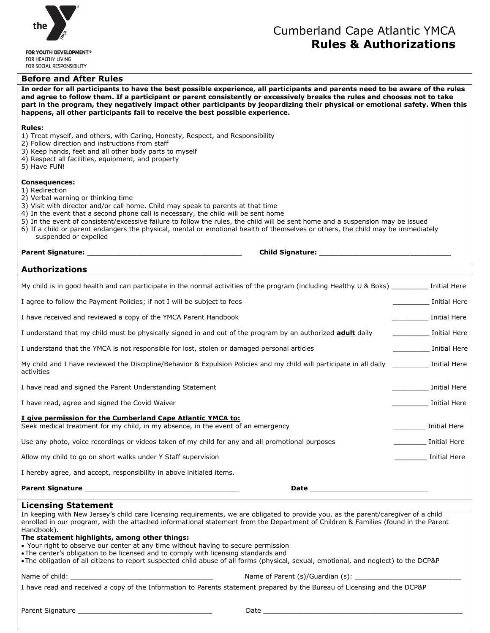

### **Before and After Rules**

# Cumberland Cape Atlantic YMCA **Rules & Authorizations**

| In order for all participants to have the best possible experience, all participants and parents need to be aware of the rules<br>and agree to follow them. If a participant or parent consistently or excessively breaks the rules and chooses not to take<br>part in the program, they negatively impact other participants by jeopardizing their physical or emotional safety. When this<br>happens, all other participants fail to receive the best possible experience.                                                                                                                                                                                   |  |                                |  |  |
|----------------------------------------------------------------------------------------------------------------------------------------------------------------------------------------------------------------------------------------------------------------------------------------------------------------------------------------------------------------------------------------------------------------------------------------------------------------------------------------------------------------------------------------------------------------------------------------------------------------------------------------------------------------|--|--------------------------------|--|--|
| <b>Rules:</b><br>1) Treat myself, and others, with Caring, Honesty, Respect, and Responsibility<br>2) Follow direction and instructions from staff<br>3) Keep hands, feet and all other body parts to myself<br>4) Respect all facilities, equipment, and property<br>5) Have FUN!                                                                                                                                                                                                                                                                                                                                                                             |  |                                |  |  |
| <b>Consequences:</b><br>1) Redirection<br>2) Verbal warning or thinking time<br>3) Visit with director and/or call home. Child may speak to parents at that time<br>4) In the event that a second phone call is necessary, the child will be sent home<br>5) In the event of consistent/excessive failure to follow the rules, the child will be sent home and a suspension may be issued<br>6) If a child or parent endangers the physical, mental or emotional health of themselves or others, the child may be immediately<br>suspended or expelled                                                                                                         |  |                                |  |  |
|                                                                                                                                                                                                                                                                                                                                                                                                                                                                                                                                                                                                                                                                |  |                                |  |  |
| <b>Authorizations</b>                                                                                                                                                                                                                                                                                                                                                                                                                                                                                                                                                                                                                                          |  |                                |  |  |
| My child is in good health and can participate in the normal activities of the program (including Healthy U & Boks) Initial Here                                                                                                                                                                                                                                                                                                                                                                                                                                                                                                                               |  |                                |  |  |
| I agree to follow the Payment Policies; if not I will be subject to fees                                                                                                                                                                                                                                                                                                                                                                                                                                                                                                                                                                                       |  | Initial Here                   |  |  |
| I have received and reviewed a copy of the YMCA Parent Handbook                                                                                                                                                                                                                                                                                                                                                                                                                                                                                                                                                                                                |  | Initial Here                   |  |  |
| I understand that my child must be physically signed in and out of the program by an authorized <b>adult</b> daily                                                                                                                                                                                                                                                                                                                                                                                                                                                                                                                                             |  | Initial Here                   |  |  |
| I understand that the YMCA is not responsible for lost, stolen or damaged personal articles                                                                                                                                                                                                                                                                                                                                                                                                                                                                                                                                                                    |  | Initial Here                   |  |  |
| My child and I have reviewed the Discipline/Behavior & Expulsion Policies and my child will participate in all daily ___________ Initial Here<br>activities                                                                                                                                                                                                                                                                                                                                                                                                                                                                                                    |  |                                |  |  |
| I have read and signed the Parent Understanding Statement                                                                                                                                                                                                                                                                                                                                                                                                                                                                                                                                                                                                      |  | <b>Example 15 Initial Here</b> |  |  |
| I have read, agree and signed the Covid Waiver                                                                                                                                                                                                                                                                                                                                                                                                                                                                                                                                                                                                                 |  | <b>Example 1</b> Initial Here  |  |  |
| I give permission for the Cumberland Cape Atlantic YMCA to:<br>Seek medical treatment for my child, in my absence, in the event of an emergency                                                                                                                                                                                                                                                                                                                                                                                                                                                                                                                |  | Initial Here                   |  |  |
| Use any photo, voice recordings or videos taken of my child for any and all promotional purposes                                                                                                                                                                                                                                                                                                                                                                                                                                                                                                                                                               |  | Initial Here                   |  |  |
| Allow my child to go on short walks under Y Staff supervision                                                                                                                                                                                                                                                                                                                                                                                                                                                                                                                                                                                                  |  | Initial Here                   |  |  |
| I hereby agree, and accept, responsibility in above initialed items.                                                                                                                                                                                                                                                                                                                                                                                                                                                                                                                                                                                           |  |                                |  |  |
|                                                                                                                                                                                                                                                                                                                                                                                                                                                                                                                                                                                                                                                                |  |                                |  |  |
| <b>Licensing Statement</b>                                                                                                                                                                                                                                                                                                                                                                                                                                                                                                                                                                                                                                     |  |                                |  |  |
| In keeping with New Jersey's child care licensing requirements, we are obligated to provide you, as the parent/caregiver of a child<br>enrolled in our program, with the attached informational statement from the Department of Children & Families (found in the Parent<br>Handbook).<br>The statement highlights, among other things:<br>• Your right to observe our center at any time without having to secure permission<br>. The center's obligation to be licensed and to comply with licensing standards and<br>. The obligation of all citizens to report suspected child abuse of all forms (physical, sexual, emotional, and neglect) to the DCP&P |  |                                |  |  |
|                                                                                                                                                                                                                                                                                                                                                                                                                                                                                                                                                                                                                                                                |  |                                |  |  |
| I have read and received a copy of the Information to Parents statement prepared by the Bureau of Licensing and the DCP&P                                                                                                                                                                                                                                                                                                                                                                                                                                                                                                                                      |  |                                |  |  |
|                                                                                                                                                                                                                                                                                                                                                                                                                                                                                                                                                                                                                                                                |  |                                |  |  |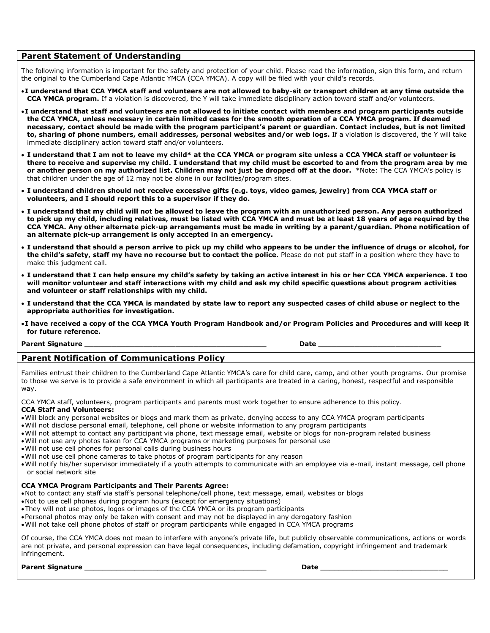### **Parent Statement of Understanding**

The following information is important for the safety and protection of your child. Please read the information, sign this form, and return the original to the Cumberland Cape Atlantic YMCA (CCA YMCA). A copy will be filed with your child's records.

- **I understand that CCA YMCA staff and volunteers are not allowed to baby-sit or transport children at any time outside the CCA YMCA program.** If a violation is discovered, the Y will take immediate disciplinary action toward staff and/or volunteers.
- **I understand that staff and volunteers are not allowed to initiate contact with members and program participants outside the CCA YMCA, unless necessary in certain limited cases for the smooth operation of a CCA YMCA program. If deemed necessary, contact should be made with the program participant's parent or guardian. Contact includes, but is not limited to, sharing of phone numbers, email addresses, personal websites and/or web logs.** If a violation is discovered, the Y will take immediate disciplinary action toward staff and/or volunteers.
- **I understand that I am not to leave my child\* at the CCA YMCA or program site unless a CCA YMCA staff or volunteer is there to receive and supervise my child. I understand that my child must be escorted to and from the program area by me or another person on my authorized list. Children may not just be dropped off at the door.** \*Note: The CCA YMCA's policy is that children under the age of 12 may not be alone in our facilities/program sites.
- **I understand children should not receive excessive gifts (e.g. toys, video games, jewelry) from CCA YMCA staff or volunteers, and I should report this to a supervisor if they do.**
- **I understand that my child will not be allowed to leave the program with an unauthorized person. Any person authorized to pick up my child, including relatives, must be listed with CCA YMCA and must be at least 18 years of age required by the CCA YMCA. Any other alternate pick-up arrangements must be made in writing by a parent/guardian. Phone notification of an alternate pick-up arrangement is only accepted in an emergency.**
- **I understand that should a person arrive to pick up my child who appears to be under the influence of drugs or alcohol, for the child's safety, staff my have no recourse but to contact the police.** Please do not put staff in a position where they have to make this judgment call.
- **I understand that I can help ensure my child's safety by taking an active interest in his or her CCA YMCA experience. I too will monitor volunteer and staff interactions with my child and ask my child specific questions about program activities and volunteer or staff relationships with my child.**
- **I understand that the CCA YMCA is mandated by state law to report any suspected cases of child abuse or neglect to the appropriate authorities for investigation.**
- **I have received a copy of the CCA YMCA Youth Program Handbook and/or Program Policies and Procedures and will keep it for future reference.**

## Parent Signature **Law Executive Contract Contract Contract Contract Contract Contract Contract Contract Contract Contract Contract Contract Contract Contract Contract Contract Contract Contract Contract Contract Contract C**

### **Parent Notification of Communications Policy**

Families entrust their children to the Cumberland Cape Atlantic YMCA's care for child care, camp, and other youth programs. Our promise to those we serve is to provide a safe environment in which all participants are treated in a caring, honest, respectful and responsible way.

CCA YMCA staff, volunteers, program participants and parents must work together to ensure adherence to this policy. **CCA Staff and Volunteers:**

- Will block any personal websites or blogs and mark them as private, denying access to any CCA YMCA program participants
- Will not disclose personal email, telephone, cell phone or website information to any program participants
- Will not attempt to contact any participant via phone, text message email, website or blogs for non-program related business
- Will not use any photos taken for CCA YMCA programs or marketing purposes for personal use
- Will not use cell phones for personal calls during business hours
- Will not use cell phone cameras to take photos of program participants for any reason
- Will notify his/her supervisor immediately if a youth attempts to communicate with an employee via e-mail, instant message, cell phone or social network site

#### **CCA YMCA Program Participants and Their Parents Agree:**

- Not to contact any staff via staff's personal telephone/cell phone, text message, email, websites or blogs
- Not to use cell phones during program hours (except for emergency situations)
- They will not use photos, logos or images of the CCA YMCA or its program participants
- Personal photos may only be taken with consent and may not be displayed in any derogatory fashion
- Will not take cell phone photos of staff or program participants while engaged in CCA YMCA programs

Of course, the CCA YMCA does not mean to interfere with anyone's private life, but publicly observable communications, actions or words are not private, and personal expression can have legal consequences, including defamation, copyright infringement and trademark infringement.

#### **Parent Signature Construction in the set of the set of the set of the set of the set of the set of the set of the set of the set of the set of the set of the set of the set of the set of the set of the set of the set o**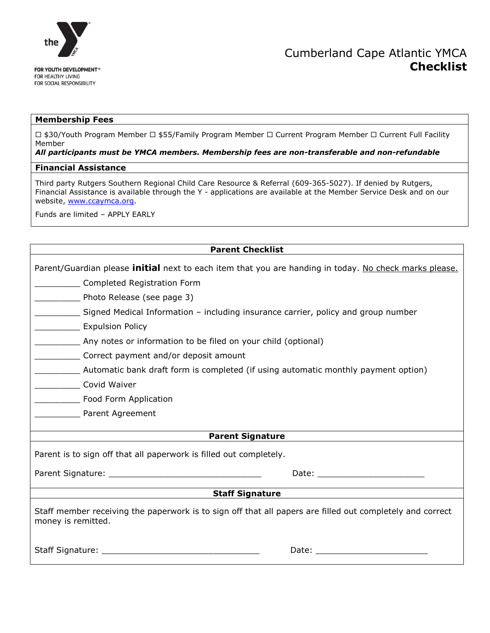

# Cumberland Cape Atlantic YMCA **Checklist**

### **Membership Fees**

□ \$30/Youth Program Member □ \$55/Family Program Member □ Current Program Member □ Current Full Facility Member

### *All participants must be YMCA members. Membership fees are non-transferable and non-refundable*

#### **Financial Assistance**

Third party Rutgers Southern Regional Child Care Resource & Referral (609-365-5027). If denied by Rutgers, Financial Assistance is available through the Y - applications are available at the Member Service Desk and on our website, [www.ccaymca.org.](http://www.ccaymca.org/)

Funds are limited – APPLY EARLY

| <b>Parent Checklist</b>                                                                                                                                                                                                        |  |  |  |  |
|--------------------------------------------------------------------------------------------------------------------------------------------------------------------------------------------------------------------------------|--|--|--|--|
| Parent/Guardian please <i>initial</i> next to each item that you are handing in today. No check marks please.                                                                                                                  |  |  |  |  |
| Completed Registration Form                                                                                                                                                                                                    |  |  |  |  |
| Photo Release (see page 3)                                                                                                                                                                                                     |  |  |  |  |
| Signed Medical Information – including insurance carrier, policy and group number                                                                                                                                              |  |  |  |  |
| <b>Expulsion Policy</b>                                                                                                                                                                                                        |  |  |  |  |
| Any notes or information to be filed on your child (optional)                                                                                                                                                                  |  |  |  |  |
| Correct payment and/or deposit amount                                                                                                                                                                                          |  |  |  |  |
| Automatic bank draft form is completed (if using automatic monthly payment option)                                                                                                                                             |  |  |  |  |
| Covid Waiver                                                                                                                                                                                                                   |  |  |  |  |
| Food Form Application                                                                                                                                                                                                          |  |  |  |  |
| <b>Example 2 Parent Agreement</b>                                                                                                                                                                                              |  |  |  |  |
|                                                                                                                                                                                                                                |  |  |  |  |
| <b>Parent Signature</b>                                                                                                                                                                                                        |  |  |  |  |
| Parent is to sign off that all paperwork is filled out completely.                                                                                                                                                             |  |  |  |  |
|                                                                                                                                                                                                                                |  |  |  |  |
| <b>Staff Signature</b>                                                                                                                                                                                                         |  |  |  |  |
| Staff member receiving the paperwork is to sign off that all papers are filled out completely and correct<br>money is remitted.                                                                                                |  |  |  |  |
| Date: the contract of the contract of the contract of the contract of the contract of the contract of the contract of the contract of the contract of the contract of the contract of the contract of the contract of the cont |  |  |  |  |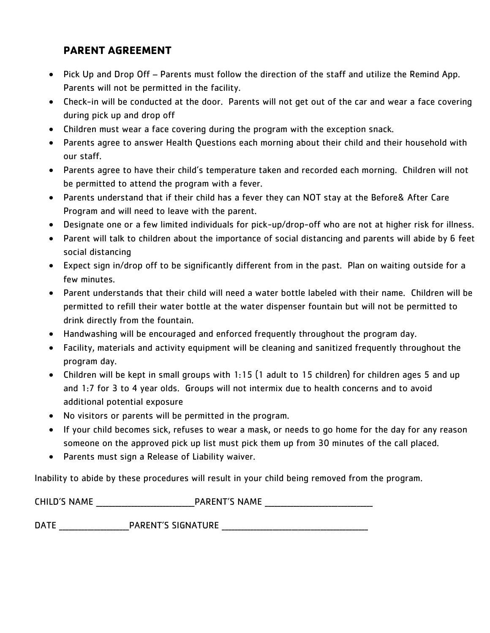# **PARENT AGREEMENT**

- Pick Up and Drop Off Parents must follow the direction of the staff and utilize the Remind App. Parents will not be permitted in the facility.
- Check-in will be conducted at the door. Parents will not get out of the car and wear a face covering during pick up and drop off
- Children must wear a face covering during the program with the exception snack.
- Parents agree to answer Health Questions each morning about their child and their household with our staff.
- Parents agree to have their child's temperature taken and recorded each morning. Children will not be permitted to attend the program with a fever.
- Parents understand that if their child has a fever they can NOT stay at the Before& After Care Program and will need to leave with the parent.
- Designate one or a few limited individuals for pick-up/drop-off who are not at higher risk for illness.
- Parent will talk to children about the importance of social distancing and parents will abide by 6 feet social distancing
- Expect sign in/drop off to be significantly different from in the past. Plan on waiting outside for a few minutes.
- Parent understands that their child will need a water bottle labeled with their name. Children will be permitted to refill their water bottle at the water dispenser fountain but will not be permitted to drink directly from the fountain.
- Handwashing will be encouraged and enforced frequently throughout the program day.
- Facility, materials and activity equipment will be cleaning and sanitized frequently throughout the program day.
- Children will be kept in small groups with 1:15 (1 adult to 15 children) for children ages 5 and up and 1:7 for 3 to 4 year olds. Groups will not intermix due to health concerns and to avoid additional potential exposure
- No visitors or parents will be permitted in the program.
- If your child becomes sick, refuses to wear a mask, or needs to go home for the day for any reason someone on the approved pick up list must pick them up from 30 minutes of the call placed.
- Parents must sign a Release of Liability waiver.

Inability to abide by these procedures will result in your child being removed from the program.

| <b>CHILD'S NAME</b> | <b>PARENT'S NAME</b>      |  |
|---------------------|---------------------------|--|
|                     |                           |  |
| <b>DATE</b>         | <b>PARENT'S SIGNATURE</b> |  |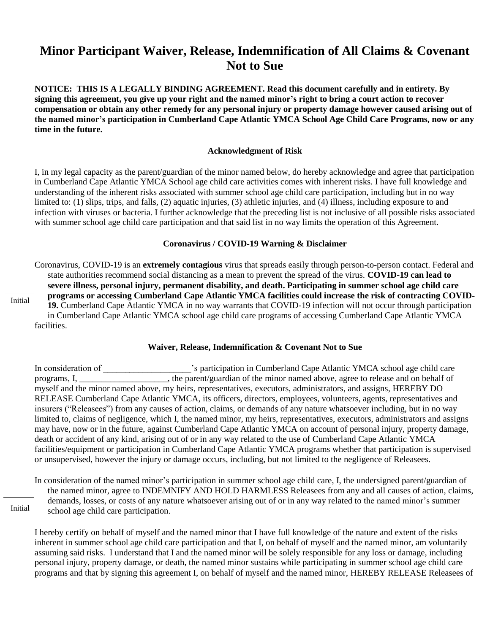# **Minor Participant Waiver, Release, Indemnification of All Claims & Covenant Not to Sue**

**NOTICE: THIS IS A LEGALLY BINDING AGREEMENT. Read this document carefully and in entirety. By signing this agreement, you give up your right and the named minor's right to bring a court action to recover compensation or obtain any other remedy for any personal injury or property damage however caused arising out of the named minor's participation in Cumberland Cape Atlantic YMCA School Age Child Care Programs, now or any time in the future.**

### **Acknowledgment of Risk**

I, in my legal capacity as the parent/guardian of the minor named below, do hereby acknowledge and agree that participation in Cumberland Cape Atlantic YMCA School age child care activities comes with inherent risks. I have full knowledge and understanding of the inherent risks associated with summer school age child care participation, including but in no way limited to: (1) slips, trips, and falls, (2) aquatic injuries, (3) athletic injuries, and (4) illness, including exposure to and infection with viruses or bacteria. I further acknowledge that the preceding list is not inclusive of all possible risks associated with summer school age child care participation and that said list in no way limits the operation of this Agreement.

#### **Coronavirus / COVID-19 Warning & Disclaimer**

Coronavirus, COVID-19 is an **extremely contagious** virus that spreads easily through person-to-person contact. Federal and state authorities recommend social distancing as a mean to prevent the spread of the virus. **COVID-19 can lead to severe illness, personal injury, permanent disability, and death. Participating in summer school age child care programs or accessing Cumberland Cape Atlantic YMCA facilities could increase the risk of contracting COVID-19.** Cumberland Cape Atlantic YMCA in no way warrants that COVID-19 infection will not occur through participation in Cumberland Cape Atlantic YMCA school age child care programs of accessing Cumberland Cape Atlantic YMCA facilities.

# **Waiver, Release, Indemnification & Covenant Not to Sue**

In consideration of \_\_\_\_\_\_\_\_\_\_\_\_\_\_\_\_\_\_\_\_'s participation in Cumberland Cape Atlantic YMCA school age child care programs, I, \_\_\_\_\_\_\_\_\_\_\_\_\_\_\_\_\_\_, the parent/guardian of the minor named above, agree to release and on behalf of myself and the minor named above, my heirs, representatives, executors, administrators, and assigns, HEREBY DO RELEASE Cumberland Cape Atlantic YMCA, its officers, directors, employees, volunteers, agents, representatives and insurers ("Releasees") from any causes of action, claims, or demands of any nature whatsoever including, but in no way limited to, claims of negligence, which I, the named minor, my heirs, representatives, executors, administrators and assigns may have, now or in the future, against Cumberland Cape Atlantic YMCA on account of personal injury, property damage, death or accident of any kind, arising out of or in any way related to the use of Cumberland Cape Atlantic YMCA facilities/equipment or participation in Cumberland Cape Atlantic YMCA programs whether that participation is supervised or unsupervised, however the injury or damage occurs, including, but not limited to the negligence of Releasees.

In consideration of the named minor's participation in summer school age child care, I, the undersigned parent/guardian of the named minor, agree to INDEMNIFY AND HOLD HARMLESS Releasees from any and all causes of action, claims, demands, losses, or costs of any nature whatsoever arising out of or in any way related to the named minor's summer school age child care participation.

Initial

I hereby certify on behalf of myself and the named minor that I have full knowledge of the nature and extent of the risks inherent in summer school age child care participation and that I, on behalf of myself and the named minor, am voluntarily assuming said risks. I understand that I and the named minor will be solely responsible for any loss or damage, including personal injury, property damage, or death, the named minor sustains while participating in summer school age child care programs and that by signing this agreement I, on behalf of myself and the named minor, HEREBY RELEASE Releasees of

Initial